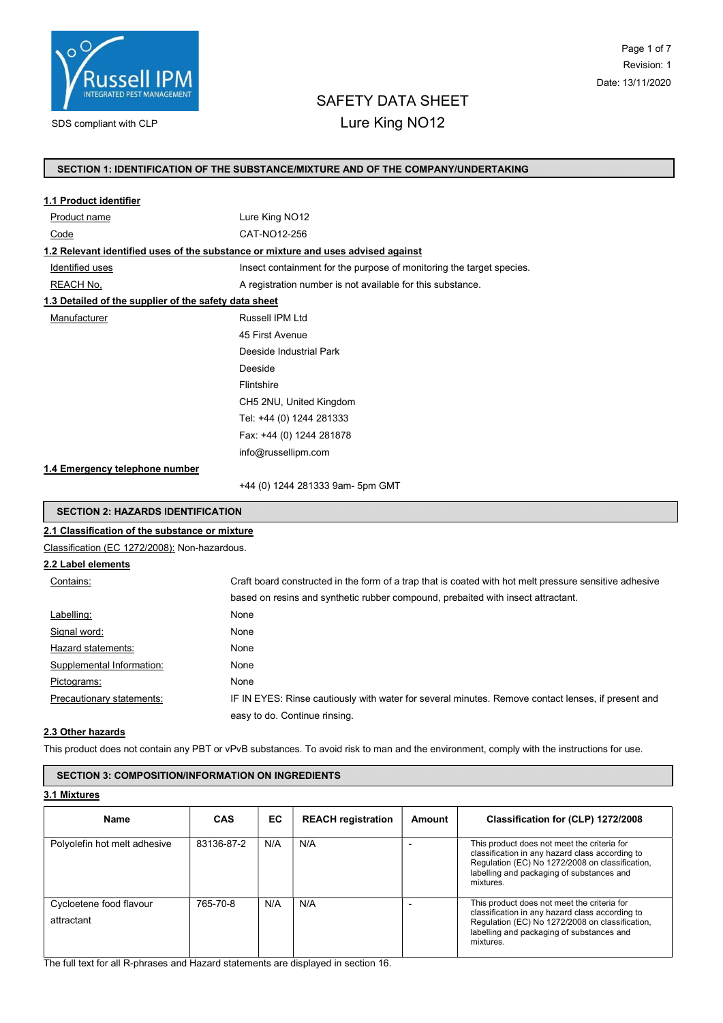

# SAFETY DATA SHEET

# SDS compliant with CLP **Lure King NO12**

## SECTION 1: IDENTIFICATION OF THE SUBSTANCE/MIXTURE AND OF THE COMPANY/UNDERTAKING

| 1.1 Product identifier                                |                                                                                                        |  |  |  |  |
|-------------------------------------------------------|--------------------------------------------------------------------------------------------------------|--|--|--|--|
| Product name                                          | Lure King NO12                                                                                         |  |  |  |  |
| CAT-NO12-256<br>Code                                  |                                                                                                        |  |  |  |  |
|                                                       | 1.2 Relevant identified uses of the substance or mixture and uses advised against                      |  |  |  |  |
| Identified uses                                       | Insect containment for the purpose of monitoring the target species.                                   |  |  |  |  |
| REACH No.                                             | A registration number is not available for this substance.                                             |  |  |  |  |
| 1.3 Detailed of the supplier of the safety data sheet |                                                                                                        |  |  |  |  |
| Manufacturer                                          | Russell IPM Ltd                                                                                        |  |  |  |  |
|                                                       | 45 First Avenue                                                                                        |  |  |  |  |
|                                                       | Deeside Industrial Park                                                                                |  |  |  |  |
|                                                       | Deeside                                                                                                |  |  |  |  |
|                                                       | Flintshire                                                                                             |  |  |  |  |
|                                                       | CH5 2NU, United Kingdom<br>Tel: +44 (0) 1244 281333                                                    |  |  |  |  |
|                                                       |                                                                                                        |  |  |  |  |
|                                                       | Fax: +44 (0) 1244 281878                                                                               |  |  |  |  |
|                                                       | info@russellipm.com                                                                                    |  |  |  |  |
| 1.4 Emergency telephone number                        |                                                                                                        |  |  |  |  |
|                                                       | +44 (0) 1244 281333 9am- 5pm GMT                                                                       |  |  |  |  |
| <b>SECTION 2: HAZARDS IDENTIFICATION</b>              |                                                                                                        |  |  |  |  |
| 2.1 Classification of the substance or mixture        |                                                                                                        |  |  |  |  |
| Classification (EC 1272/2008): Non-hazardous.         |                                                                                                        |  |  |  |  |
| 2.2 Label elements                                    |                                                                                                        |  |  |  |  |
| Contains:                                             | Craft board constructed in the form of a trap that is coated with hot melt pressure sensitive adhesive |  |  |  |  |
|                                                       | based on resins and synthetic rubber compound, prebaited with insect attractant.                       |  |  |  |  |
| Labelling:                                            | None                                                                                                   |  |  |  |  |
| Signal word:                                          | None                                                                                                   |  |  |  |  |
| Hazard statements:                                    | None                                                                                                   |  |  |  |  |
| Supplemental Information:                             | None                                                                                                   |  |  |  |  |

#### 2.3 Other hazards

This product does not contain any PBT or vPvB substances. To avoid risk to man and the environment, comply with the instructions for use.

easy to do. Continue rinsing.

Precautionary statements: IF IN EYES: Rinse cautiously with water for several minutes. Remove contact lenses, if present and

# SECTION 3: COMPOSITION/INFORMATION ON INGREDIENTS

Pictograms: None

3.1 Mixtures

| <b>Name</b>                           | <b>CAS</b> | EC. | <b>REACH registration</b> | Amount | Classification for (CLP) 1272/2008                                                                                                                                                                          |
|---------------------------------------|------------|-----|---------------------------|--------|-------------------------------------------------------------------------------------------------------------------------------------------------------------------------------------------------------------|
| Polyolefin hot melt adhesive          | 83136-87-2 | N/A | N/A                       |        | This product does not meet the criteria for<br>classification in any hazard class according to<br>Regulation (EC) No 1272/2008 on classification,<br>labelling and packaging of substances and<br>mixtures. |
| Cycloetene food flavour<br>attractant | 765-70-8   | N/A | N/A                       |        | This product does not meet the criteria for<br>classification in any hazard class according to<br>Regulation (EC) No 1272/2008 on classification,<br>labelling and packaging of substances and<br>mixtures. |

The full text for all R-phrases and Hazard statements are displayed in section 16.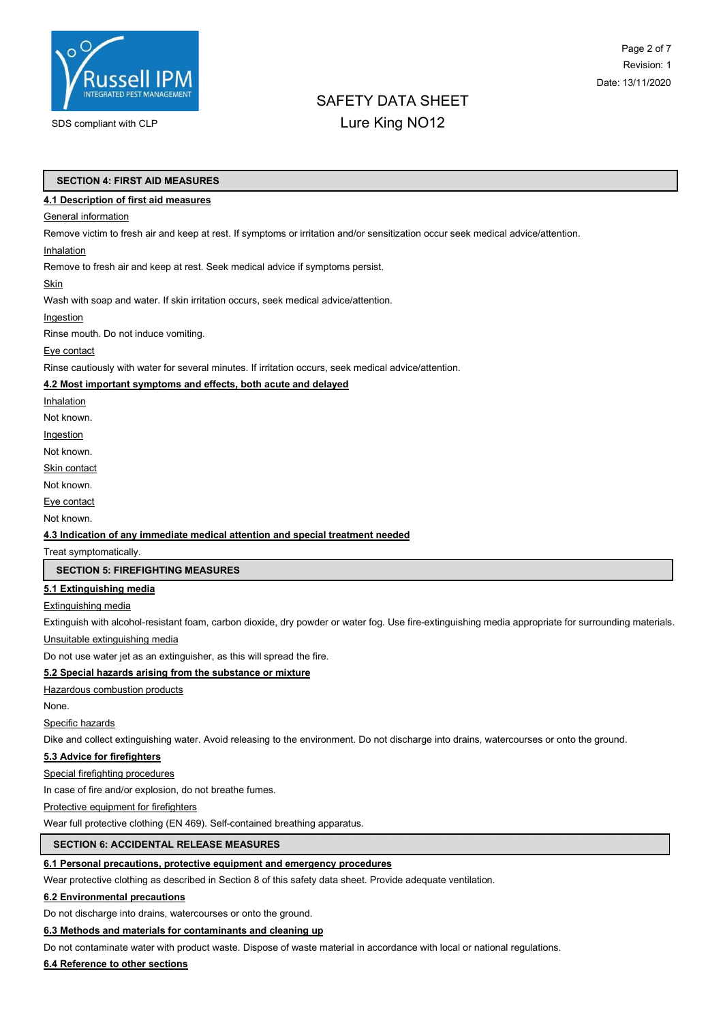

# Page 2 of 7 Revision: 1 Date: 13/11/2020

# SAFETY DATA SHEET

# SDS compliant with CLP **Lure King NO12**

#### SECTION 4: FIRST AID MEASURES

#### 4.1 Description of first aid measures

#### **General information**

Remove victim to fresh air and keep at rest. If symptoms or irritation and/or sensitization occur seek medical advice/attention.

#### Inhalation

Remove to fresh air and keep at rest. Seek medical advice if symptoms persist.

#### **Skin**

Wash with soap and water. If skin irritation occurs, seek medical advice/attention.

#### Ingestion

Rinse mouth. Do not induce vomiting.

#### Eye contact

Rinse cautiously with water for several minutes. If irritation occurs, seek medical advice/attention.

#### 4.2 Most important symptoms and effects, both acute and delayed

Inhalation

Not known.

Ingestion

Not known.

**Skin contact** 

Not known.

Eye contact

Not known.

#### 4.3 Indication of any immediate medical attention and special treatment needed

Treat symptomatically.

#### SECTION 5: FIREFIGHTING MEASURES

#### 5.1 Extinguishing media

#### Extinguishing media

Extinguish with alcohol-resistant foam, carbon dioxide, dry powder or water fog. Use fire-extinguishing media appropriate for surrounding materials.

Unsuitable extinguishing media

Do not use water jet as an extinguisher, as this will spread the fire.

#### 5.2 Special hazards arising from the substance or mixture

**Hazardous combustion products** 

None.

#### Specific hazards

Dike and collect extinguishing water. Avoid releasing to the environment. Do not discharge into drains, watercourses or onto the ground.

#### 5.3 Advice for firefighters

Special firefighting procedures

In case of fire and/or explosion, do not breathe fumes.

Protective equipment for firefighters

Wear full protective clothing (EN 469). Self-contained breathing apparatus.

#### SECTION 6: ACCIDENTAL RELEASE MEASURES

#### 6.1 Personal precautions, protective equipment and emergency procedures

Wear protective clothing as described in Section 8 of this safety data sheet. Provide adequate ventilation.

#### 6.2 Environmental precautions

Do not discharge into drains, watercourses or onto the ground.

#### 6.3 Methods and materials for contaminants and cleaning up

Do not contaminate water with product waste. Dispose of waste material in accordance with local or national regulations.

#### 6.4 Reference to other sections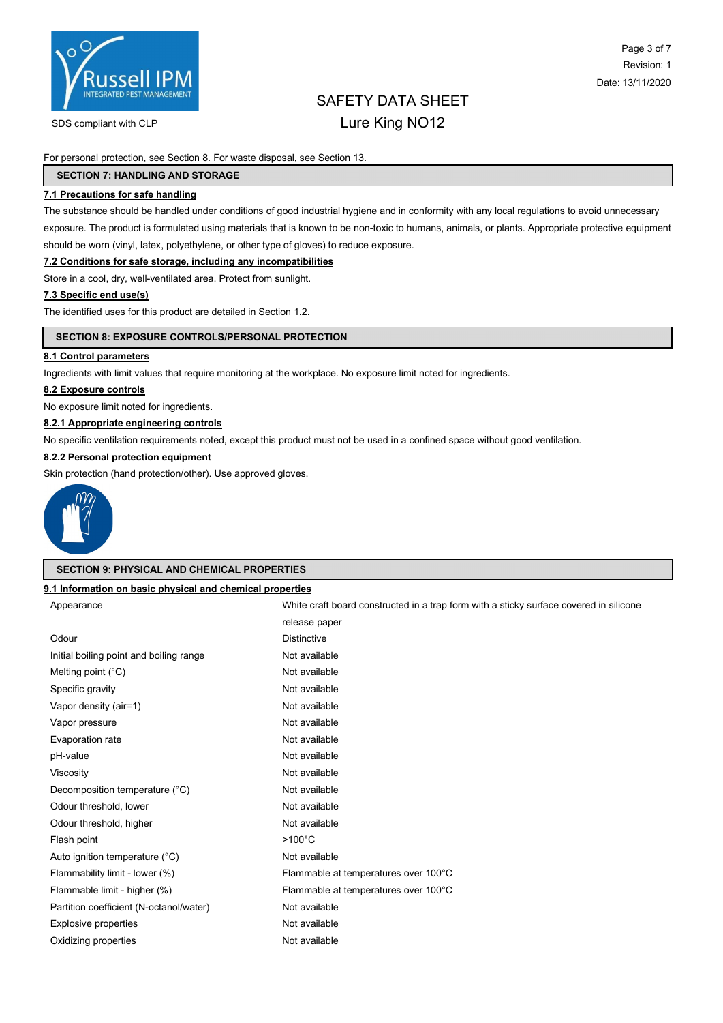

SDS compliant with CLP **Lure King NO12** 

# Page 3 of 7 Revision: 1 Date: 13/11/2020

# SAFETY DATA SHEET

For personal protection, see Section 8. For waste disposal, see Section 13.

#### SECTION 7: HANDLING AND STORAGE

#### 7.1 Precautions for safe handling

The substance should be handled under conditions of good industrial hygiene and in conformity with any local regulations to avoid unnecessary exposure. The product is formulated using materials that is known to be non-toxic to humans, animals, or plants. Appropriate protective equipment should be worn (vinyl, latex, polyethylene, or other type of gloves) to reduce exposure.

#### 7.2 Conditions for safe storage, including any incompatibilities

Store in a cool, dry, well-ventilated area. Protect from sunlight.

#### 7.3 Specific end use(s)

The identified uses for this product are detailed in Section 1.2.

#### SECTION 8: EXPOSURE CONTROLS/PERSONAL PROTECTION

#### 8.1 Control parameters

Ingredients with limit values that require monitoring at the workplace. No exposure limit noted for ingredients.

#### 8.2 Exposure controls

No exposure limit noted for ingredients.

#### 8.2.1 Appropriate engineering controls

No specific ventilation requirements noted, except this product must not be used in a confined space without good ventilation.

#### 8.2.2 Personal protection equipment

Skin protection (hand protection/other). Use approved gloves.



#### SECTION 9: PHYSICAL AND CHEMICAL PROPERTIES

#### 9.1 Information on basic physical and chemical properties

| Appearance                              | White craft board constructed in a trap form with a sticky surface covered in silicone |
|-----------------------------------------|----------------------------------------------------------------------------------------|
|                                         | release paper                                                                          |
| Odour                                   | <b>Distinctive</b>                                                                     |
| Initial boiling point and boiling range | Not available                                                                          |
| Melting point $(^{\circ}C)$             | Not available                                                                          |
| Specific gravity                        | Not available                                                                          |
| Vapor density (air=1)                   | Not available                                                                          |
| Vapor pressure                          | Not available                                                                          |
| Evaporation rate                        | Not available                                                                          |
| pH-value                                | Not available                                                                          |
| Viscosity                               | Not available                                                                          |
| Decomposition temperature (°C)          | Not available                                                                          |
| Odour threshold, lower                  | Not available                                                                          |
| Odour threshold, higher                 | Not available                                                                          |
| Flash point                             | $>100^{\circ}$ C                                                                       |
| Auto ignition temperature (°C)          | Not available                                                                          |
| Flammability limit - lower (%)          | Flammable at temperatures over 100°C                                                   |
| Flammable limit - higher (%)            | Flammable at temperatures over 100°C                                                   |
| Partition coefficient (N-octanol/water) | Not available                                                                          |
| Explosive properties                    | Not available                                                                          |
| Oxidizing properties                    | Not available                                                                          |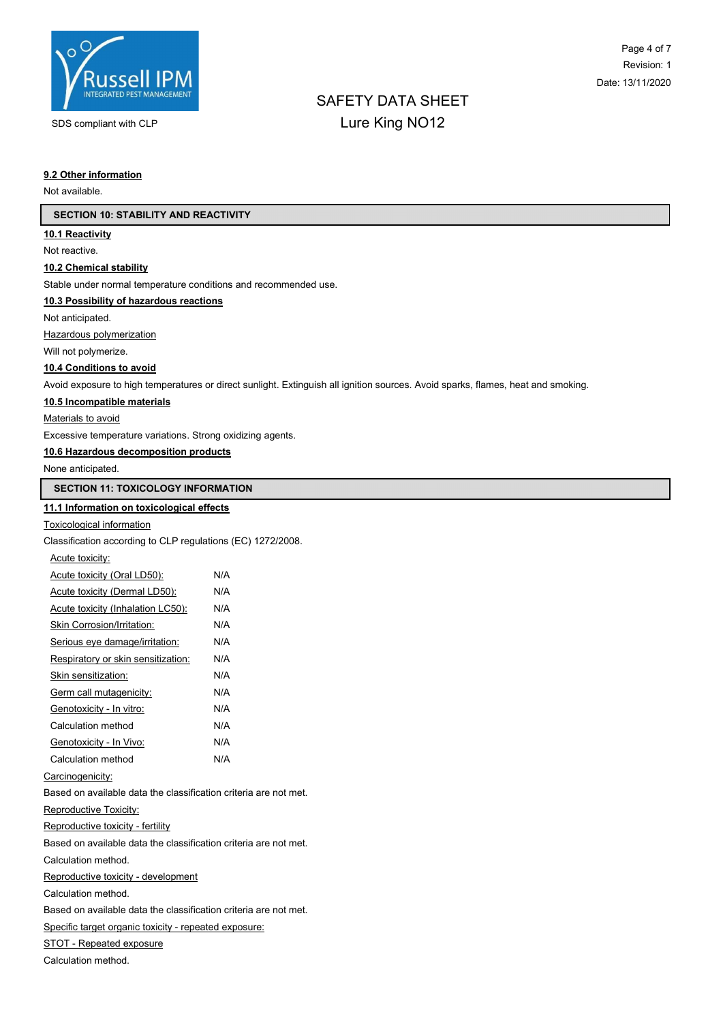

# SAFETY DATA SHEET SDS compliant with CLP **Lure King NO12**

#### 9.2 Other information

Not available.

#### SECTION 10: STABILITY AND REACTIVITY

#### 10.1 Reactivity

Not reactive.

#### 10.2 Chemical stability

Stable under normal temperature conditions and recommended use.

#### 10.3 Possibility of hazardous reactions

Not anticipated.

Hazardous polymerization

Will not polymerize.

#### 10.4 Conditions to avoid

Avoid exposure to high temperatures or direct sunlight. Extinguish all ignition sources. Avoid sparks, flames, heat and smoking.

#### 10.5 Incompatible materials

Materials to avoid

Excessive temperature variations. Strong oxidizing agents.

#### 10.6 Hazardous decomposition products

None anticipated.

### SECTION 11: TOXICOLOGY INFORMATION

#### 11.1 Information on toxicological effects

#### Toxicological information

Classification according to CLP regulations (EC) 1272/2008.

| Acute toxicity:                    |     |
|------------------------------------|-----|
| Acute toxicity (Oral LD50):        | N/A |
| Acute toxicity (Dermal LD50):      | N/A |
| Acute toxicity (Inhalation LC50):  | N/A |
| Skin Corrosion/Irritation:         | N/A |
| Serious eye damage/irritation:     | N/A |
| Respiratory or skin sensitization: | N/A |
| Skin sensitization:                | N/A |
| Germ call mutagenicity:            | N/A |
| Genotoxicity - In vitro:           | N/A |

| Calculation method      | N/A |
|-------------------------|-----|
| Genotoxicity - In Vivo: | N/A |
| Calculation method      | N/A |

#### Carcinogenicity:

Based on available data the classification criteria are not met.

#### Reproductive Toxicity:

Reproductive toxicity - fertility

Based on available data the classification criteria are not met.

Calculation method.

Reproductive toxicity - development

Calculation method.

Based on available data the classification criteria are not met.

Specific target organic toxicity - repeated exposure:

STOT - Repeated exposure

Calculation method.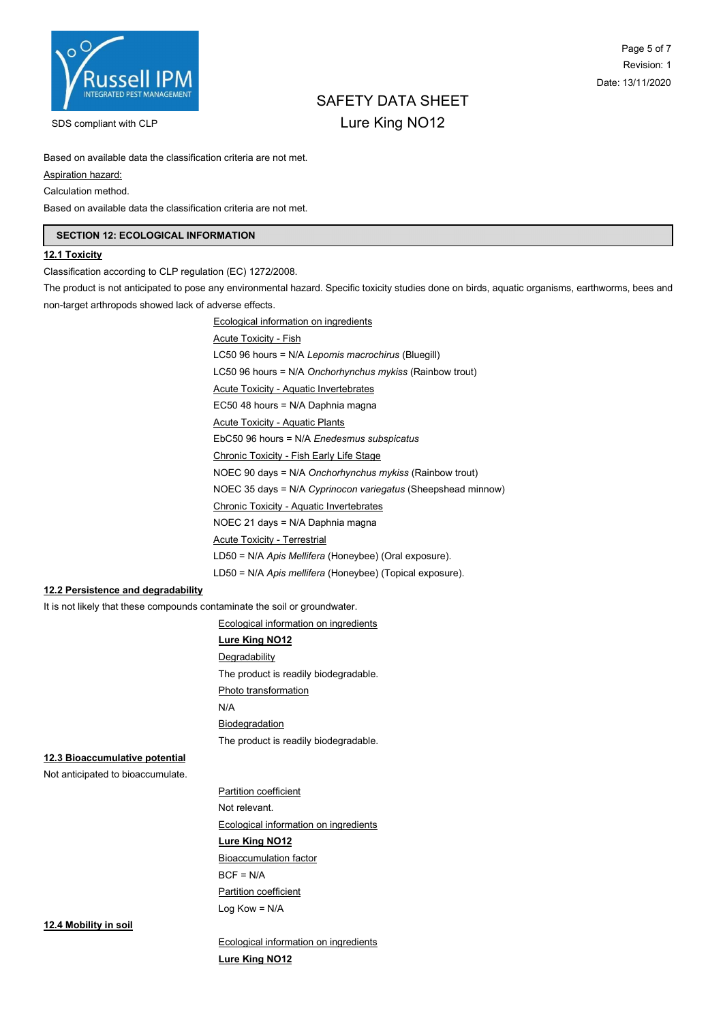

# Page 5 of 7 Revision: 1 Date: 13/11/2020

# SAFETY DATA SHEET SDS compliant with CLP **Lure King NO12**

Based on available data the classification criteria are not met.

Aspiration hazard:

Calculation method.

Based on available data the classification criteria are not met.

### SECTION 12: ECOLOGICAL INFORMATION

#### 12.1 Toxicity

Classification according to CLP regulation (EC) 1272/2008.

The product is not anticipated to pose any environmental hazard. Specific toxicity studies done on birds, aquatic organisms, earthworms, bees and non-target arthropods showed lack of adverse effects.

> Ecological information on ingredients Acute Toxicity - Fish LC50 96 hours = N/A Lepomis macrochirus (Bluegill) LC50 96 hours = N/A Onchorhynchus mykiss (Rainbow trout) Acute Toxicity - Aquatic Invertebrates EC50 48 hours = N/A Daphnia magna Acute Toxicity - Aquatic Plants EbC50 96 hours = N/A Enedesmus subspicatus Chronic Toxicity - Fish Early Life Stage NOEC 90 days = N/A Onchorhynchus mykiss (Rainbow trout) NOEC 35 days = N/A Cyprinocon variegatus (Sheepshead minnow) Chronic Toxicity - Aquatic Invertebrates NOEC 21 days = N/A Daphnia magna Acute Toxicity - Terrestrial LD50 = N/A Apis Mellifera (Honeybee) (Oral exposure). LD50 = N/A Apis mellifera (Honeybee) (Topical exposure).

#### 12.2 Persistence and degradability

It is not likely that these compounds contaminate the soil or groundwater.

Ecological information on ingredients

#### Lure King NO12

**Degradability** The product is readily biodegradable.

Photo transformation

N/A

**Biodegradation** 

The product is readily biodegradable.

### 12.3 Bioaccumulative potential

Not anticipated to bioaccumulate.

Partition coefficient Not relevant. Ecological information on ingredients Lure King NO12 Bioaccumulation factor

 $BCF = N/A$ Partition coefficient Log Kow = N/A

12.4 Mobility in soil

Ecological information on ingredients Lure King NO12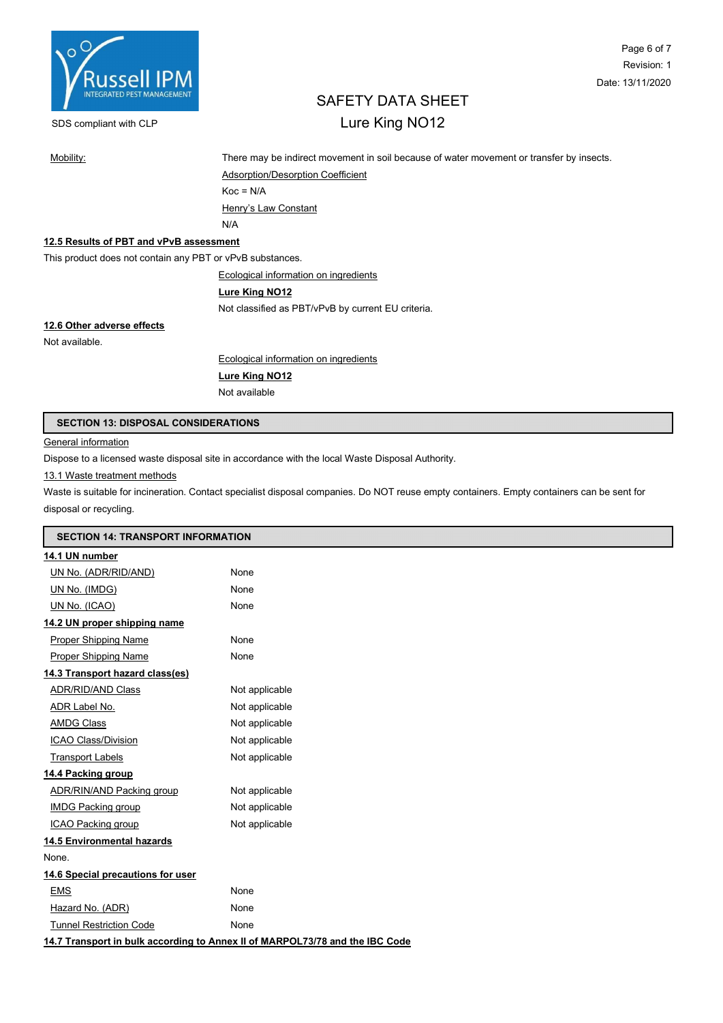

# Page 6 of 7 Revision: 1 Date: 13/11/2020

# SAFETY DATA SHEET

# SDS compliant with CLP **Lure King NO12**

Mobility: There may be indirect movement in soil because of water movement or transfer by insects.

Adsorption/Desorption Coefficient  $Koc = N/A$ Henry's Law Constant N/A

#### 12.5 Results of PBT and vPvB assessment

This product does not contain any PBT or vPvB substances.

Ecological information on ingredients

#### Lure King NO12

Not classified as PBT/vPvB by current EU criteria.

# 12.6 Other adverse effects

Not available.

Ecological information on ingredients

## Lure King NO12

Not available

#### SECTION 13: DISPOSAL CONSIDERATIONS

#### **General information**

п

Dispose to a licensed waste disposal site in accordance with the local Waste Disposal Authority.

#### 13.1 Waste treatment methods

Waste is suitable for incineration. Contact specialist disposal companies. Do NOT reuse empty containers. Empty containers can be sent for disposal or recycling.

| <b>SECTION 14: TRANSPORT INFORMATION</b>                                     |  |  |  |  |  |
|------------------------------------------------------------------------------|--|--|--|--|--|
|                                                                              |  |  |  |  |  |
| None                                                                         |  |  |  |  |  |
| None                                                                         |  |  |  |  |  |
| None                                                                         |  |  |  |  |  |
|                                                                              |  |  |  |  |  |
| None                                                                         |  |  |  |  |  |
| None                                                                         |  |  |  |  |  |
|                                                                              |  |  |  |  |  |
| Not applicable                                                               |  |  |  |  |  |
| Not applicable                                                               |  |  |  |  |  |
| Not applicable                                                               |  |  |  |  |  |
| Not applicable                                                               |  |  |  |  |  |
| Not applicable                                                               |  |  |  |  |  |
|                                                                              |  |  |  |  |  |
| Not applicable                                                               |  |  |  |  |  |
| Not applicable                                                               |  |  |  |  |  |
| Not applicable                                                               |  |  |  |  |  |
|                                                                              |  |  |  |  |  |
|                                                                              |  |  |  |  |  |
|                                                                              |  |  |  |  |  |
| None                                                                         |  |  |  |  |  |
| None                                                                         |  |  |  |  |  |
| None                                                                         |  |  |  |  |  |
| 14.7 Transport in bulk according to Annex II of MARPOL73/78 and the IBC Code |  |  |  |  |  |
|                                                                              |  |  |  |  |  |